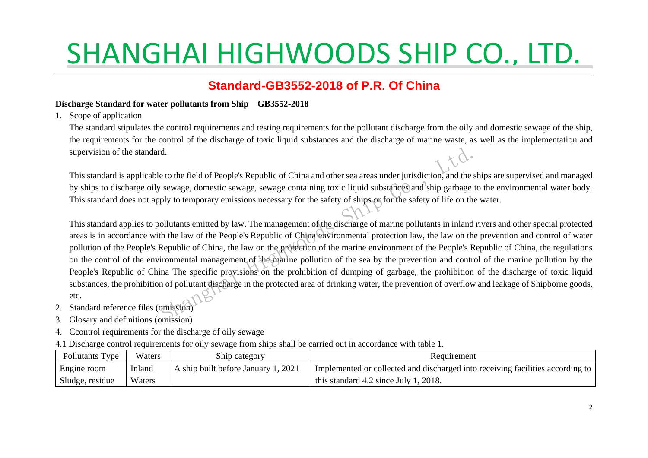#### **Standard-GB3552-2018 of P.R. Of China**

#### **Discharge Standard for water pollutants from Ship GB3552-2018**

1. Scope of application

The standard stipulates the control requirements and testing requirements for the pollutant discharge from the oily and domestic sewage of the ship, the requirements for the control of the discharge of toxic liquid substances and the discharge of marine waste, as well as the implementation and supervision of the standard.

This standard is applicable to the field of People's Republic of China and other sea areas under jurisdiction, and the ships are supervised and managed by ships to discharge oily sewage, domestic sewage, sewage containing toxic liquid substances and ship garbage to the environmental water body. This standard does not apply to temporary emissions necessary for the safety of ships or for the safety of life on the water.

This standard applies to pollutants emitted by law. The management of the discharge of marine pollutants in inland rivers and other special protected areas is in accordance with the law of the People's Republic of China environmental protection law, the law on the prevention and control of water pollution of the People's Republic of China, the law on the protection of the marine environment of the People's Republic of China, the regulations on the control of the environmental management of the marine pollution of the sea by the prevention and control of the marine pollution by the People's Republic of China The specific provisions on the prohibition of dumping of garbage, the prohibition of the discharge of toxic liquid substances, the prohibition of pollutant discharge in the protected area of drinking water, the prevention of overflow and leakage of Shipborne goods, etc. d.<br>
e to the field of People's Republic of China and other sea areas under jurisdiction, and the ship:<br>
sewage, domestic sewage, sewage containing toxic liquid substances) and ship garbage to the<br>
ply to temporary emissio

- 2. Standard reference files (omission)
- 3. Glosary and definitions (omission)
- 4. Ccontrol requirements for the discharge of oily sewage
- 4.1 Discharge control requirements for oily sewage from ships shall be carried out in accordance with table 1.

| Pollutants Type | Waters | Ship category                       | Requirement                                                                    |
|-----------------|--------|-------------------------------------|--------------------------------------------------------------------------------|
| Engine room     | Inland | A ship built before January 1, 2021 | Implemented or collected and discharged into receiving facilities according to |
| Sludge, residue | Waters |                                     | this standard 4.2 since July 1, 2018.                                          |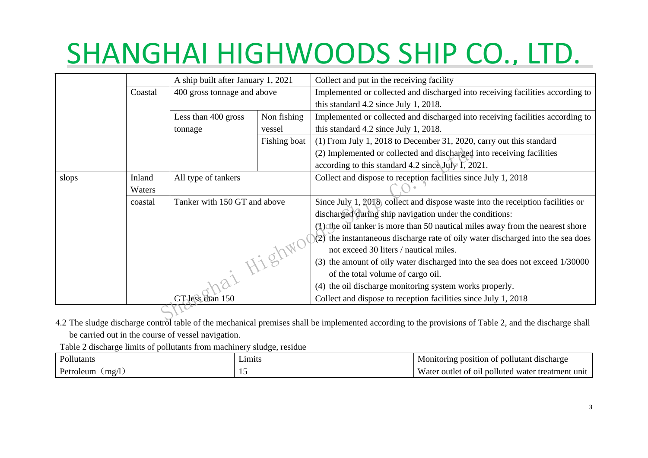|       |         | A ship built after January 1, 2021                                |              | Collect and put in the receiving facility                                         |
|-------|---------|-------------------------------------------------------------------|--------------|-----------------------------------------------------------------------------------|
|       | Coastal | 400 gross tonnage and above<br>Less than 400 gross<br>Non fishing |              | Implemented or collected and discharged into receiving facilities according to    |
|       |         |                                                                   |              | this standard 4.2 since July 1, 2018.                                             |
|       |         |                                                                   |              | Implemented or collected and discharged into receiving facilities according to    |
|       |         | tonnage                                                           | vessel       | this standard 4.2 since July 1, 2018.                                             |
|       |         |                                                                   | Fishing boat | $(1)$ From July 1, 2018 to December 31, 2020, carry out this standard             |
|       |         |                                                                   |              | (2) Implemented or collected and discharged into receiving facilities             |
|       |         |                                                                   |              | according to this standard 4.2 since July 1, 2021.                                |
| slops | Inland  | All type of tankers                                               |              | Collect and dispose to reception facilities since July 1, 2018                    |
|       | Waters  |                                                                   |              |                                                                                   |
|       | coastal | Tanker with 150 GT and above                                      |              | Since July 1, 2018, collect and dispose waste into the receiption facilities or   |
|       |         |                                                                   |              | discharged during ship navigation under the conditions:                           |
|       |         |                                                                   |              | (1) the oil tanker is more than 50 nautical miles away from the nearest shore     |
|       |         |                                                                   |              | $(2)$ the instantaneous discharge rate of oily water discharged into the sea does |
|       |         |                                                                   |              | not exceed 30 liters / nautical miles.                                            |
|       |         |                                                                   |              | (3) the amount of oily water discharged into the sea does not exceed 1/30000      |
|       |         | i Highwo<br>GT less than 150                                      |              | of the total volume of cargo oil.                                                 |
|       |         |                                                                   |              | (4) the oil discharge monitoring system works properly.                           |
|       |         |                                                                   |              | Collect and dispose to reception facilities since July 1, 2018                    |
|       |         |                                                                   |              |                                                                                   |

4.2 The sludge discharge control table of the mechanical premises shall be implemented according to the provisions of Table 2, and the discharge shall 4.2 be carried out in the course of vessel navigation.

Table 2 discharge limits of pollutants from machinery sludge, residue

| Pollutants                              | –1m1ts | ıllııtant<br>discharge<br>Monitorins<br>$n_{\Omega}$<br>osition<br>റ⊤                                                     |
|-----------------------------------------|--------|---------------------------------------------------------------------------------------------------------------------------|
| $\blacksquare$<br>mg/l<br>oleum<br>Petr |        | $- -$<br>water<br>pollute<br><sup>.</sup> treatmen<br>+۱۵۰<br>-ot<br>outl<br>uni<br>ater/<br>O1 <sub>h</sub><br>$\cdot$ . |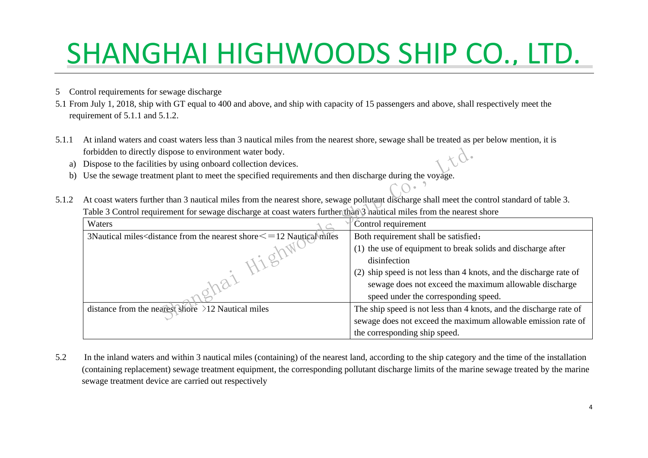- 5 Control requirements for sewage discharge
- 5.1 From July 1, 2018, ship with GT equal to 400 and above, and ship with capacity of 15 passengers and above, shall respectively meet the requirement of 5.1.1 and 5.1.2.
- 5.1.1 At inland waters and coast waters less than 3 nautical miles from the nearest shore, sewage shall be treated as per below mention, it is forbidden to directly dispose to environment water body.
	- a) Dispose to the facilities by using onboard collection devices.
	- b) Use the sewage treatment plant to meet the specified requirements and then discharge during the voyage.
- 5.1.2 At coast waters further than 3 nautical miles from the nearest shore, sewage pollutant discharge shall meet the control standard of table 3. Table 3 Control requirement for sewage discharge at coast waters further than 3 nautical miles from the nearest shore

| forbidden to directly dispose to environment water body.                                                                                     |                                                                    |
|----------------------------------------------------------------------------------------------------------------------------------------------|--------------------------------------------------------------------|
| Dispose to the facilities by using onboard collection devices.                                                                               |                                                                    |
| Use the sewage treatment plant to meet the specified requirements and then discharge during the voyage.                                      |                                                                    |
|                                                                                                                                              |                                                                    |
| At coast waters further than 3 nautical miles from the nearest shore, sewage pollutant discharge shall meet the control standard of table 3. |                                                                    |
| Table 3 Control requirement for sewage discharge at coast waters further than 3 hautical miles from the nearest shore                        |                                                                    |
| Waters                                                                                                                                       | Control requirement                                                |
| 3Nautical miles <distance from="" nearest="" shore<math="" the="">\le = 12 Nautical miles</distance>                                         | Both requirement shall be satisfied:                               |
|                                                                                                                                              | (1) the use of equipment to break solids and discharge after       |
|                                                                                                                                              | disinfection                                                       |
|                                                                                                                                              | (2) ship speed is not less than 4 knots, and the discharge rate of |
|                                                                                                                                              | sewage does not exceed the maximum allowable discharge             |
|                                                                                                                                              | speed under the corresponding speed.                               |
| distance from the nearest shore $\geq$ 12 Nautical miles                                                                                     | The ship speed is not less than 4 knots, and the discharge rate of |
|                                                                                                                                              | sewage does not exceed the maximum allowable emission rate of      |
|                                                                                                                                              | the corresponding ship speed.                                      |

5.2 In the inland waters and within 3 nautical miles (containing) of the nearest land, according to the ship category and the time of the installation (containing replacement) sewage treatment equipment, the corresponding pollutant discharge limits of the marine sewage treated by the marine sewage treatment device are carried out respectively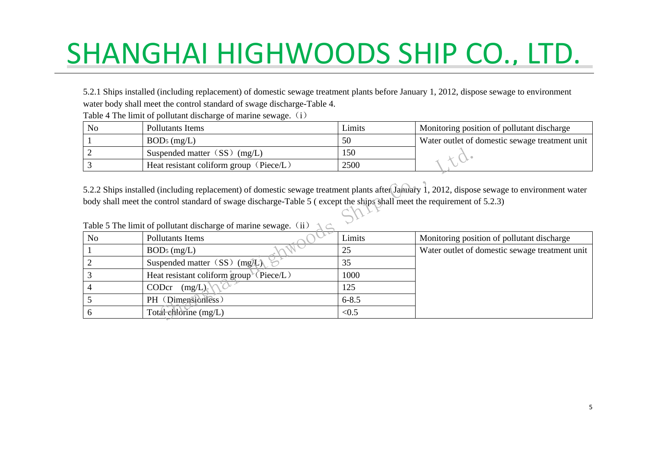5.2.1 Ships installed (including replacement) of domestic sewage treatment plants before January 1, 2012, dispose sewage to environment water body shall meet the control standard of swage discharge-Table 4.

| No | Pollutants Items                                   | Limits     | Monitoring position of pollutant discharge     |
|----|----------------------------------------------------|------------|------------------------------------------------|
|    | $BOD5$ (mg/L)                                      | 50         | Water outlet of domestic sewage treatment unit |
|    | Suspended matter $(SS)$ (mg/L)                     | <b>150</b> |                                                |
|    | Heat resistant coliform group ( $\text{Piece}/L$ ) | 2500       |                                                |

Table 4 The limit of pollutant discharge of marine sewage. (i)

| Table 5 The limit of pollutant discharge of marine sewage. (ii) |  |
|-----------------------------------------------------------------|--|
|                                                                 |  |

|           | Suspended matter $(SS)$ (mg/L)                                                                                                                                                                                                                                         | 150       |                                                |
|-----------|------------------------------------------------------------------------------------------------------------------------------------------------------------------------------------------------------------------------------------------------------------------------|-----------|------------------------------------------------|
|           | Heat resistant coliform group (Piece/L)<br>2500                                                                                                                                                                                                                        |           |                                                |
|           | 5.2.2 Ships installed (including replacement) of domestic sewage treatment plants after Jahuary 1, 2012, dispose sewage to environment water<br>body shall meet the control standard of swage discharge-Table 5 (except the ships shall meet the requirement of 5.2.3) |           |                                                |
|           |                                                                                                                                                                                                                                                                        |           |                                                |
|           | Table 5 The limit of pollutant discharge of marine sewage. (ii)                                                                                                                                                                                                        |           |                                                |
| <b>No</b> | Pollutants Items                                                                                                                                                                                                                                                       | Limits    | Monitoring position of pollutant discharge     |
|           | $BOD5$ (mg/L)                                                                                                                                                                                                                                                          | 25        | Water outlet of domestic sewage treatment unit |
|           | Suspended matter $(SS)$ (mg/L)                                                                                                                                                                                                                                         | 35        |                                                |
|           | Heat resistant coliform group ( $\text{Piece}/L$ )                                                                                                                                                                                                                     |           |                                                |
|           | CODcr<br>(mg/L)                                                                                                                                                                                                                                                        |           |                                                |
|           | PH (Dimensionless)                                                                                                                                                                                                                                                     | $6 - 8.5$ |                                                |
|           | Total chlorine (mg/L)                                                                                                                                                                                                                                                  | < 0.5     |                                                |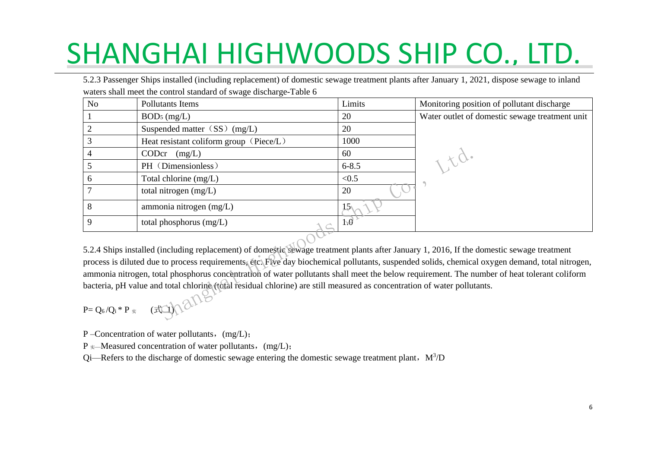5.2.3 Passenger Ships installed (including replacement) of domestic sewage treatment plants after January 1, 2021, dispose sewage to inland waters shall meet the control standard of swage discharge-Table 6

| No                                                                                                                                                                                                                                                                                                                                                                                                                                                                                                                                                                                                            | Pollutants Items                        | Limits          | Monitoring position of pollutant discharge     |  |
|---------------------------------------------------------------------------------------------------------------------------------------------------------------------------------------------------------------------------------------------------------------------------------------------------------------------------------------------------------------------------------------------------------------------------------------------------------------------------------------------------------------------------------------------------------------------------------------------------------------|-----------------------------------------|-----------------|------------------------------------------------|--|
|                                                                                                                                                                                                                                                                                                                                                                                                                                                                                                                                                                                                               | $BOD5$ (mg/L)                           | 20              | Water outlet of domestic sewage treatment unit |  |
|                                                                                                                                                                                                                                                                                                                                                                                                                                                                                                                                                                                                               | Suspended matter $(SS)$ (mg/L)          | 20              |                                                |  |
| 3                                                                                                                                                                                                                                                                                                                                                                                                                                                                                                                                                                                                             | Heat resistant coliform group (Piece/L) | 1000            |                                                |  |
|                                                                                                                                                                                                                                                                                                                                                                                                                                                                                                                                                                                                               | CODcr<br>(mg/L)                         | 60              |                                                |  |
| 5                                                                                                                                                                                                                                                                                                                                                                                                                                                                                                                                                                                                             | PH (Dimensionless)                      | $6 - 8.5$       | 15d.                                           |  |
| 6                                                                                                                                                                                                                                                                                                                                                                                                                                                                                                                                                                                                             | Total chlorine (mg/L)                   | < 0.5           |                                                |  |
|                                                                                                                                                                                                                                                                                                                                                                                                                                                                                                                                                                                                               | total nitrogen $(mg/L)$                 | 20              |                                                |  |
| 8                                                                                                                                                                                                                                                                                                                                                                                                                                                                                                                                                                                                             | ammonia nitrogen (mg/L)                 | 15 <sub>1</sub> |                                                |  |
| 9                                                                                                                                                                                                                                                                                                                                                                                                                                                                                                                                                                                                             | total phosphorus $(mg/L)$               | 1.0             |                                                |  |
| 5.2.4 Ships installed (including replacement) of domestic sewage treatment plants after January 1, 2016, If the domestic sewage treatment<br>process is diluted due to process requirements, etc. Five day biochemical pollutants, suspended solids, chemical oxygen demand, total nitrogen,<br>ammonia nitrogen, total phosphorus concentration of water pollutants shall meet the below requirement. The number of heat tolerant coliform<br>bacteria, pH value and total chlorine (total residual chlorine) are still measured as concentration of water pollutants.<br>$P = Q_6/Q_i * P_*$ (All $Q_1 Q_2$ |                                         |                 |                                                |  |
|                                                                                                                                                                                                                                                                                                                                                                                                                                                                                                                                                                                                               |                                         |                 |                                                |  |

$$
P = Q_6/Q_i * P_* \qquad (\text{mod})
$$

P – Concentration of water pollutants, (mg/L);

 $P \approx$ —Measured concentration of water pollutants, (mg/L);

Qi—Refers to the discharge of domestic sewage entering the domestic sewage treatment plant,  $M<sup>3</sup>/D$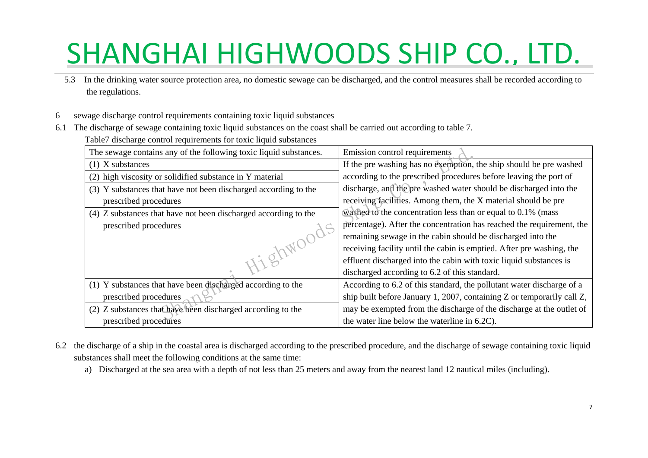- 5.3 In the drinking water source protection area, no domestic sewage can be discharged, and the control measures shall be recorded according to the regulations.
- 6 sewage discharge control requirements containing toxic liquid substances
- 6.1 The discharge of sewage containing toxic liquid substances on the coast shall be carried out according to table 7.

Table7 discharge control requirements for toxic liquid substances

| The sewage contains any of the following toxic liquid substances. | Emission control requirements                                          |
|-------------------------------------------------------------------|------------------------------------------------------------------------|
| $(1)$ X substances                                                | If the pre washing has no exemption, the ship should be pre washed     |
| (2) high viscosity or solidified substance in Y material          | according to the prescribed procedures before leaving the port of      |
| (3) Y substances that have not been discharged according to the   | discharge, and the pre washed water should be discharged into the      |
| prescribed procedures                                             | receiving facilities. Among them, the X material should be pre         |
| (4) Z substances that have not been discharged according to the   | washed to the concentration less than or equal to $0.1\%$ (mass        |
| prescribed procedures                                             | percentage). After the concentration has reached the requirement, the  |
|                                                                   | remaining sewage in the cabin should be discharged into the            |
|                                                                   | receiving facility until the cabin is emptied. After pre washing, the  |
|                                                                   | effluent discharged into the cabin with toxic liquid substances is     |
|                                                                   | discharged according to 6.2 of this standard.                          |
| (1) Y substances that have been discharged according to the       | According to 6.2 of this standard, the pollutant water discharge of a  |
| prescribed procedures                                             | ship built before January 1, 2007, containing Z or temporarily call Z, |
| (2) Z substances that have been discharged according to the       | may be exempted from the discharge of the discharge at the outlet of   |
| prescribed procedures                                             | the water line below the waterline in 6.2C).                           |

- 6.2 the discharge of a ship in the coastal area is discharged according to the prescribed procedure, and the discharge of sewage containing toxic liquid substances shall meet the following conditions at the same time:
	- a) Discharged at the sea area with a depth of not less than 25 meters and away from the nearest land 12 nautical miles (including).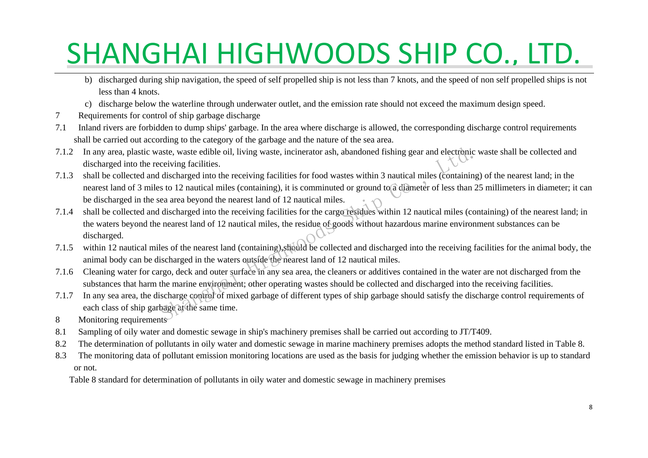- b) discharged during ship navigation, the speed of self propelled ship is not less than 7 knots, and the speed of non self propelled ships is not less than 4 knots.
- c) discharge below the waterline through underwater outlet, and the emission rate should not exceed the maximum design speed.
- 7 Requirements for control of ship garbage discharge
- 7.1 Inland rivers are forbidden to dump ships' garbage. In the area where discharge is allowed, the corresponding discharge control requirements shall be carried out according to the category of the garbage and the nature of the sea area.
- 7.1.2 In any area, plastic waste, waste edible oil, living waste, incinerator ash, abandoned fishing gear and electronic waste shall be collected and discharged into the receiving facilities.
- 7.1.3 shall be collected and discharged into the receiving facilities for food wastes within 3 nautical miles (containing) of the nearest land; in the nearest land of 3 miles to 12 nautical miles (containing), it is comminuted or ground to a diameter of less than 25 millimeters in diameter; it can be discharged in the sea area beyond the nearest land of 12 nautical miles.
- 7.1.4 shall be collected and discharged into the receiving facilities for the cargo residues within 12 nautical miles (containing) of the nearest land; in the waters beyond the nearest land of 12 nautical miles, the residue of goods without hazardous marine environment substances can be discharged. aste, waste edible oil, living waste, incinerator ash, abandoned fishing gear and electronic was<br>ceiving facilities.<br>discharged into the receiving facilities for food wastes within 3 nautical miles (containing) o<br>s to 12 n
- 7.1.5 within 12 nautical miles of the nearest land (containing),should be collected and discharged into the receiving facilities for the animal body, the animal body can be discharged in the waters outside the nearest land of 12 nautical miles.
- 7.1.6 Cleaning water for cargo, deck and outer surface in any sea area, the cleaners or additives contained in the water are not discharged from the substances that harm the marine environment; other operating wastes should be collected and discharged into the receiving facilities.
- 7.1.7 In any sea area, the discharge control of mixed garbage of different types of ship garbage should satisfy the discharge control requirements of each class of ship garbage at the same time.
- 8 Monitoring requirements
- 8.1 Sampling of oily water and domestic sewage in ship's machinery premises shall be carried out according to JT/T409.
- 8.2 The determination of pollutants in oily water and domestic sewage in marine machinery premises adopts the method standard listed in Table 8.
- 8.3 The monitoring data of pollutant emission monitoring locations are used as the basis for judging whether the emission behavior is up to standard or not.

Table 8 standard for determination of pollutants in oily water and domestic sewage in machinery premises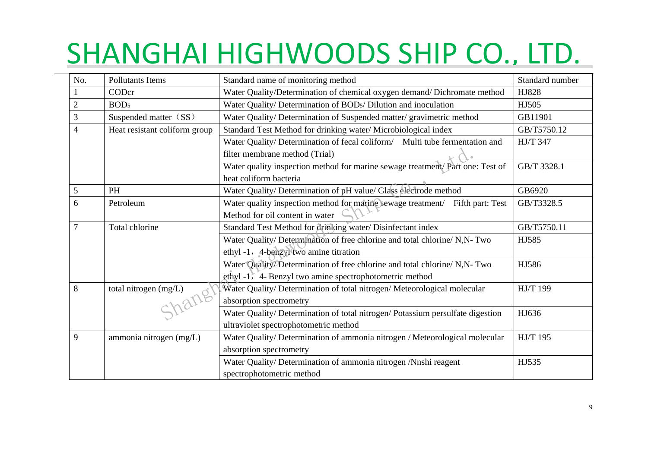| No.            | <b>Pollutants Items</b>       | Standard name of monitoring method                                             | Standard number |
|----------------|-------------------------------|--------------------------------------------------------------------------------|-----------------|
|                | CODcr                         | Water Quality/Determination of chemical oxygen demand/Dichromate method        | HJ828           |
| $\overline{c}$ | BOD <sub>5</sub>              | Water Quality/ Determination of BODs/ Dilution and inoculation                 | HJ505           |
| 3              | Suspended matter (SS)         | Water Quality/ Determination of Suspended matter/ gravimetric method           | GB11901         |
| $\overline{4}$ | Heat resistant coliform group | Standard Test Method for drinking water/Microbiological index                  | GB/T5750.12     |
|                |                               | Water Quality/ Determination of fecal coliform/ Multi tube fermentation and    | <b>HJ/T 347</b> |
|                |                               | filter membrane method (Trial)                                                 |                 |
|                |                               | Water quality inspection method for marine sewage treatment/ Part one: Test of | GB/T 3328.1     |
|                |                               | heat coliform bacteria                                                         |                 |
| 5              | <b>PH</b>                     | Water Quality/ Determination of pH value/ Glass electrode method               | GB6920          |
| 6              | Petroleum                     | Water quality inspection method for marine sewage treatment/ Fifth part: Test  | GB/T3328.5      |
|                |                               | Method for oil content in water                                                |                 |
| 7              | Total chlorine                | Standard Test Method for drinking water/ Disinfectant index                    | GB/T5750.11     |
|                |                               | Water Quality/ Determination of free chlorine and total chlorine/ N,N- Two     | HJ585           |
|                |                               | ethyl-1, 4-benzyl two amine titration                                          |                 |
|                |                               | Water Quality/Determination of free chlorine and total chlorine/ N,N- Two      | HJ586           |
|                |                               | ethyl -1, 4- Benzyl two amine spectrophotometric method                        |                 |
| 8              | total nitrogen (mg/L)         | Water Quality/Determination of total nitrogen/Meteorological molecular         | <b>HJ/T 199</b> |
|                |                               | absorption spectrometry                                                        |                 |
|                |                               | Water Quality/ Determination of total nitrogen/ Potassium persulfate digestion | HJ636           |
|                |                               | ultraviolet spectrophotometric method                                          |                 |
| 9              | ammonia nitrogen (mg/L)       | Water Quality/ Determination of ammonia nitrogen / Meteorological molecular    | HJ/T 195        |
|                |                               | absorption spectrometry                                                        |                 |
|                |                               | Water Quality/ Determination of ammonia nitrogen /Nnshi reagent                | HJ535           |
|                |                               | spectrophotometric method                                                      |                 |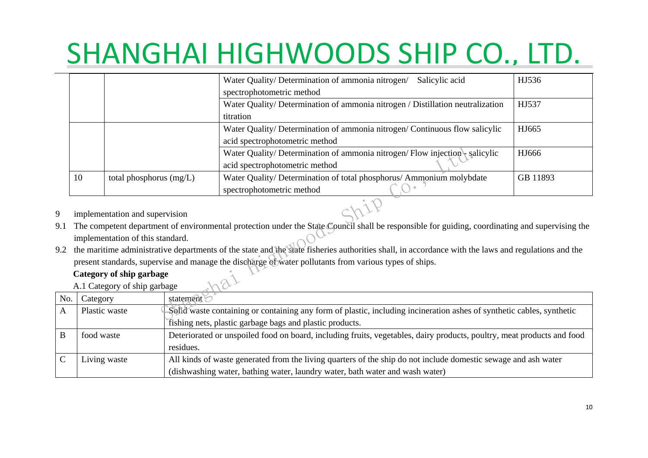|                                                                                                        |                                  | Water Quality/Determination of ammonia nitrogen/<br>Salicylic acid                                                                                  | HJ536    |  |
|--------------------------------------------------------------------------------------------------------|----------------------------------|-----------------------------------------------------------------------------------------------------------------------------------------------------|----------|--|
| spectrophotometric method                                                                              |                                  |                                                                                                                                                     |          |  |
|                                                                                                        |                                  | Water Quality/ Determination of ammonia nitrogen / Distillation neutralization                                                                      | HJ537    |  |
|                                                                                                        |                                  | titration                                                                                                                                           |          |  |
|                                                                                                        |                                  | Water Quality/Determination of ammonia nitrogen/Continuous flow salicylic                                                                           | HJ665    |  |
|                                                                                                        |                                  | acid spectrophotometric method                                                                                                                      |          |  |
|                                                                                                        |                                  | Water Quality/Determination of ammonia nitrogen/Flow injection salicylic                                                                            | HJ666    |  |
|                                                                                                        |                                  | acid spectrophotometric method                                                                                                                      |          |  |
| 10                                                                                                     | total phosphorus $(mg/L)$        | Water Quality/ Determination of total phosphorus/ Ammonium molybdate                                                                                | GB 11893 |  |
|                                                                                                        |                                  | spectrophotometric method                                                                                                                           |          |  |
|                                                                                                        | implementation and supervision   |                                                                                                                                                     |          |  |
|                                                                                                        |                                  | The competent department of environmental protection under the State Council shall be responsible for guiding, coordinating and supervising the     |          |  |
|                                                                                                        | implementation of this standard. |                                                                                                                                                     |          |  |
|                                                                                                        |                                  | the maritime administrative departments of the state and the state fisheries authorities shall, in accordance with the laws and regulations and the |          |  |
| present standards, supervise and manage the discharge of water pollutants from various types of ships. |                                  |                                                                                                                                                     |          |  |
| Category of ship garbage                                                                               |                                  |                                                                                                                                                     |          |  |
|                                                                                                        | A.1 Category of ship garbage     |                                                                                                                                                     |          |  |
| Category                                                                                               |                                  | statement?                                                                                                                                          |          |  |
| Plastic waste                                                                                          |                                  | Solid waste containing or containing any form of plastic, including incineration ashes of synthetic cables, synthetic                               |          |  |
|                                                                                                        |                                  | the contract of the contract of the contract of the contract of the contract of the contract of the contract of                                     |          |  |

- 9 implementation and supervision
- 9.1 The competent department of environmental protection under the State Council shall be responsible for guiding, coordinating and supervising the implementation of this standard.
- 9.2 the maritime administrative departments of the state and the state fisheries authorities shall, in accordance with the laws and regulations and the present standards, supervise and manage the discharge of water pollutants from various types of ships.

#### **Category of ship garbage**

| No. | Category      | statement $\odot$                                                                                                      |
|-----|---------------|------------------------------------------------------------------------------------------------------------------------|
|     | Plastic waste | Solid waste containing or containing any form of plastic, including incineration ashes of synthetic cables, synthetic  |
|     |               | fishing nets, plastic garbage bags and plastic products.                                                               |
|     | food waste    | Deteriorated or unspoiled food on board, including fruits, vegetables, dairy products, poultry, meat products and food |
|     |               | residues.                                                                                                              |
|     | Living waste  | All kinds of waste generated from the living quarters of the ship do not include domestic sewage and ash water         |
|     |               | (dishwashing water, bathing water, laundry water, bath water and wash water)                                           |